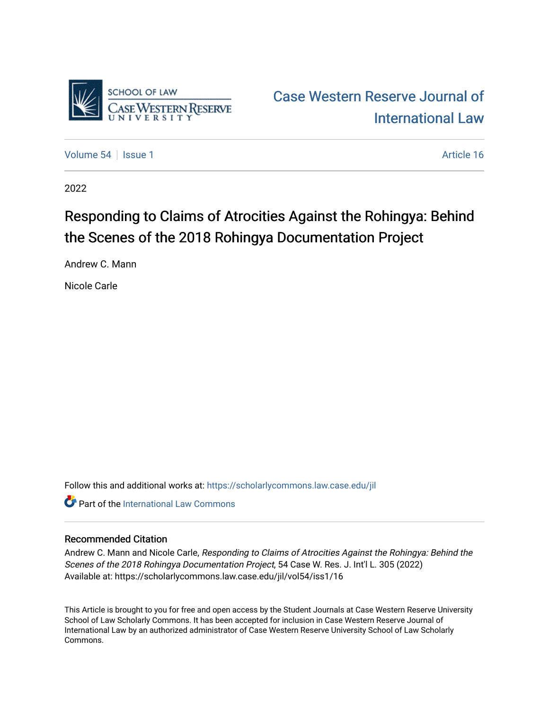

[Volume 54](https://scholarlycommons.law.case.edu/jil/vol54) | [Issue 1](https://scholarlycommons.law.case.edu/jil/vol54/iss1) Article 16

2022

# Responding to Claims of Atrocities Against the Rohingya: Behind the Scenes of the 2018 Rohingya Documentation Project

Andrew C. Mann

Nicole Carle

Follow this and additional works at: [https://scholarlycommons.law.case.edu/jil](https://scholarlycommons.law.case.edu/jil?utm_source=scholarlycommons.law.case.edu%2Fjil%2Fvol54%2Fiss1%2F16&utm_medium=PDF&utm_campaign=PDFCoverPages) 

**C** Part of the International Law Commons

# Recommended Citation

Andrew C. Mann and Nicole Carle, Responding to Claims of Atrocities Against the Rohingya: Behind the Scenes of the 2018 Rohingya Documentation Project, 54 Case W. Res. J. Int'l L. 305 (2022) Available at: https://scholarlycommons.law.case.edu/jil/vol54/iss1/16

This Article is brought to you for free and open access by the Student Journals at Case Western Reserve University School of Law Scholarly Commons. It has been accepted for inclusion in Case Western Reserve Journal of International Law by an authorized administrator of Case Western Reserve University School of Law Scholarly Commons.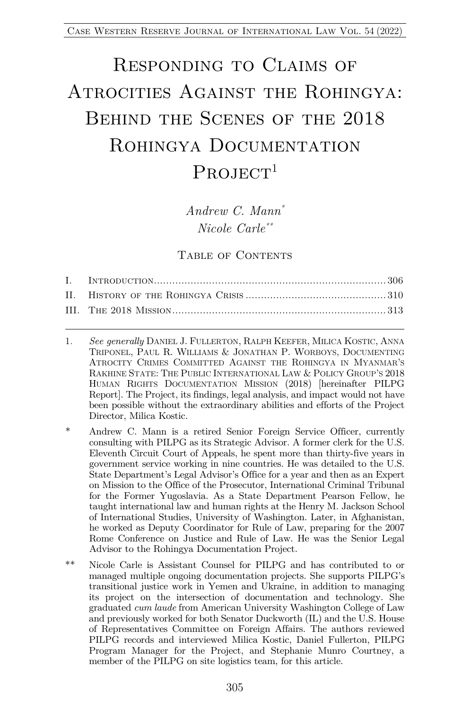# Responding to Claims of ATROCITIES AGAINST THE ROHINGYA: Behind the Scenes of the 2018 ROHINGYA DOCUMENTATION  $PROJECT<sup>1</sup>$

*Andrew C. Mann\* Nicole Carle\*\**

#### TABLE OF CONTENTS

- 1. *See generally* DANIEL J. FULLERTON, RALPH KEEFER, MILICA KOSTIC, ANNA TRIPONEL, PAUL R. WILLIAMS & JONATHAN P. WORBOYS, DOCUMENTING ATROCITY CRIMES COMMITTED AGAINST THE ROHINGYA IN MYANMAR'S RAKHINE STATE: THE PUBLIC INTERNATIONAL LAW & POLICY GROUP'S 2018 HUMAN RIGHTS DOCUMENTATION MISSION (2018) [hereinafter PILPG Report]. The Project, its findings, legal analysis, and impact would not have been possible without the extraordinary abilities and efforts of the Project Director, Milica Kostic.
- \* Andrew C. Mann is a retired Senior Foreign Service Officer, currently consulting with PILPG as its Strategic Advisor. A former clerk for the U.S. Eleventh Circuit Court of Appeals, he spent more than thirty-five years in government service working in nine countries. He was detailed to the U.S. State Department's Legal Advisor's Office for a year and then as an Expert on Mission to the Office of the Prosecutor, International Criminal Tribunal for the Former Yugoslavia. As a State Department Pearson Fellow, he taught international law and human rights at the Henry M. Jackson School of International Studies, University of Washington. Later, in Afghanistan, he worked as Deputy Coordinator for Rule of Law, preparing for the 2007 Rome Conference on Justice and Rule of Law. He was the Senior Legal Advisor to the Rohingya Documentation Project.
- \*\* Nicole Carle is Assistant Counsel for PILPG and has contributed to or managed multiple ongoing documentation projects. She supports PILPG's transitional justice work in Yemen and Ukraine, in addition to managing its project on the intersection of documentation and technology. She graduated *cum laude* from American University Washington College of Law and previously worked for both Senator Duckworth (IL) and the U.S. House of Representatives Committee on Foreign Affairs. The authors reviewed PILPG records and interviewed Milica Kostic, Daniel Fullerton, PILPG Program Manager for the Project, and Stephanie Munro Courtney, a member of the PILPG on site logistics team, for this article.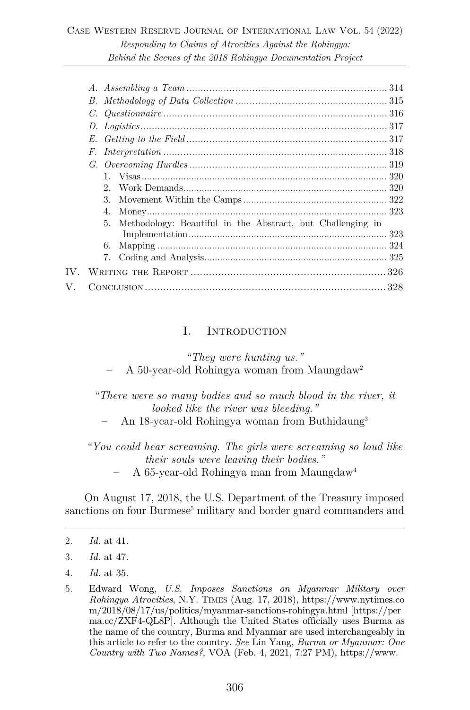|    | E.                                                               |
|----|------------------------------------------------------------------|
|    | F.                                                               |
|    |                                                                  |
|    |                                                                  |
|    | 2.                                                               |
|    | $3_{-}$                                                          |
|    | 4.                                                               |
|    | 5.<br>Methodology: Beautiful in the Abstract, but Challenging in |
|    |                                                                  |
|    |                                                                  |
|    |                                                                  |
|    |                                                                  |
| V. |                                                                  |
|    |                                                                  |

#### I. Introduction

*"They were hunting us."*

– A 50-year-old Rohingya woman from Maungdaw2

*"There were so many bodies and so much blood in the river, it looked like the river was bleeding."*

– An 18-year-old Rohingya woman from Buthidaung3

*"You could hear screaming. The girls were screaming so loud like their souls were leaving their bodies."*

– A 65-year-old Rohingya man from Maungdaw4

On August 17, 2018, the U.S. Department of the Treasury imposed sanctions on four Burmese<sup>5</sup> military and border guard commanders and

<sup>2.</sup> *Id.* at 41.

<sup>3.</sup> *Id.* at 47.

<sup>4.</sup> *Id.* at 35.

<sup>5.</sup> Edward Wong, *U.S. Imposes Sanctions on Myanmar Military over Rohingya Atrocities*, N.Y. TIMES (Aug. 17, 2018), https://www.nytimes.co m/2018/08/17/us/politics/myanmar-sanctions-rohingya.html [https://per ma.cc/ZXF4-QL8P]. Although the United States officially uses Burma as the name of the country, Burma and Myanmar are used interchangeably in this article to refer to the country. *See* Lin Yang, *Burma or Myanmar: One Country with Two Names?*, VOA (Feb. 4, 2021, 7:27 PM), https://www.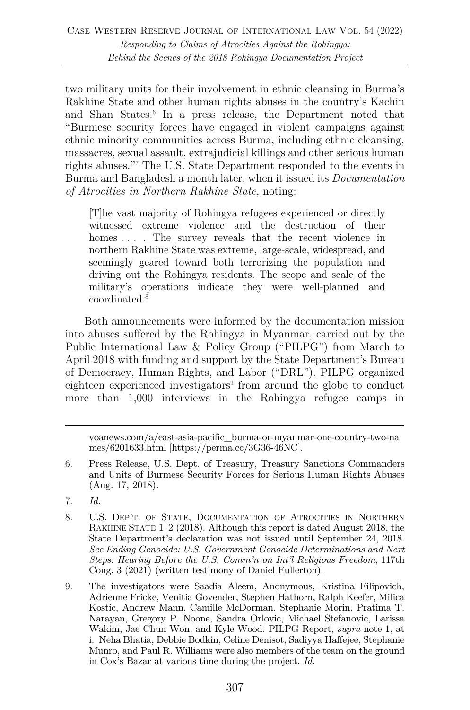two military units for their involvement in ethnic cleansing in Burma's Rakhine State and other human rights abuses in the country's Kachin and Shan States.6 In a press release, the Department noted that "Burmese security forces have engaged in violent campaigns against ethnic minority communities across Burma, including ethnic cleansing, massacres, sexual assault, extrajudicial killings and other serious human rights abuses."7 The U.S. State Department responded to the events in Burma and Bangladesh a month later, when it issued its *Documentation of Atrocities in Northern Rakhine State*, noting:

[T]he vast majority of Rohingya refugees experienced or directly witnessed extreme violence and the destruction of their homes .... The survey reveals that the recent violence in northern Rakhine State was extreme, large-scale, widespread, and seemingly geared toward both terrorizing the population and driving out the Rohingya residents. The scope and scale of the military's operations indicate they were well-planned and coordinated.8

Both announcements were informed by the documentation mission into abuses suffered by the Rohingya in Myanmar, carried out by the Public International Law & Policy Group ("PILPG") from March to April 2018 with funding and support by the State Department's Bureau of Democracy, Human Rights, and Labor ("DRL"). PILPG organized eighteen experienced investigators<sup>9</sup> from around the globe to conduct more than 1,000 interviews in the Rohingya refugee camps in

voanews.com/a/east-asia-pacific\_burma-or-myanmar-one-country-two-na mes/6201633.html [https://perma.cc/3G36-46NC].

- 6. Press Release, U.S. Dept. of Treasury, Treasury Sanctions Commanders and Units of Burmese Security Forces for Serious Human Rights Abuses (Aug. 17, 2018).
- 7. *Id.*
- 8. U.S. DEP'T. OF STATE, DOCUMENTATION OF ATROCITIES IN NORTHERN RAKHINE STATE 1–2 (2018). Although this report is dated August 2018, the State Department's declaration was not issued until September 24, 2018. *See Ending Genocide: U.S. Government Genocide Determinations and Next Steps: Hearing Before the U.S. Comm'n on Int'l Religious Freedom*, 117th Cong. 3 (2021) (written testimony of Daniel Fullerton).
- 9. The investigators were Saadia Aleem, Anonymous, Kristina Filipovich, Adrienne Fricke, Venitia Govender, Stephen Hathorn, Ralph Keefer, Milica Kostic, Andrew Mann, Camille McDorman, Stephanie Morin, Pratima T. Narayan, Gregory P. Noone, Sandra Orlovic, Michael Stefanovic, Larissa Wakim, Jae Chun Won, and Kyle Wood. PILPG Report, *supra* note 1, at i. Neha Bhatia, Debbie Bodkin, Celine Denisot, Sadiyya Haffejee, Stephanie Munro, and Paul R. Williams were also members of the team on the ground in Cox's Bazar at various time during the project. *Id.*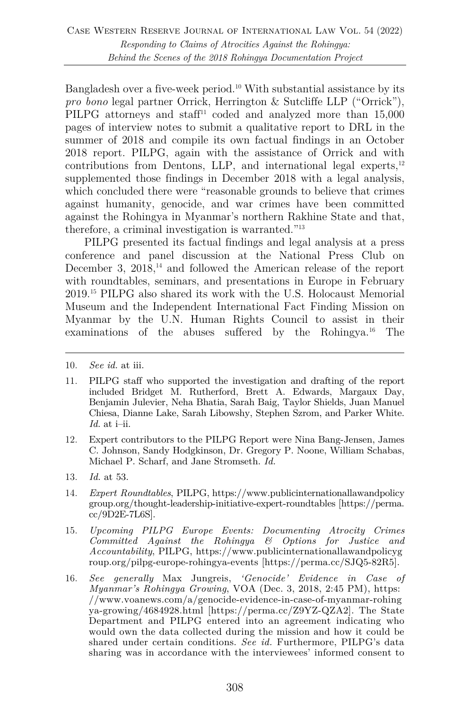Bangladesh over a five-week period.10 With substantial assistance by its *pro bono* legal partner Orrick, Herrington & Sutcliffe LLP ("Orrick"), PILPG attorneys and staff<sup>11</sup> coded and analyzed more than 15,000 pages of interview notes to submit a qualitative report to DRL in the summer of 2018 and compile its own factual findings in an October 2018 report. PILPG, again with the assistance of Orrick and with contributions from Dentons, LLP, and international legal experts, $12$ supplemented those findings in December 2018 with a legal analysis, which concluded there were "reasonable grounds to believe that crimes against humanity, genocide, and war crimes have been committed against the Rohingya in Myanmar's northern Rakhine State and that, therefore, a criminal investigation is warranted."13

PILPG presented its factual findings and legal analysis at a press conference and panel discussion at the National Press Club on December 3, 2018,<sup>14</sup> and followed the American release of the report with roundtables, seminars, and presentations in Europe in February 2019.15 PILPG also shared its work with the U.S. Holocaust Memorial Museum and the Independent International Fact Finding Mission on Myanmar by the U.N. Human Rights Council to assist in their examinations of the abuses suffered by the Rohingya.16 The

- 12. Expert contributors to the PILPG Report were Nina Bang-Jensen, James C. Johnson, Sandy Hodgkinson, Dr. Gregory P. Noone, William Schabas, Michael P. Scharf, and Jane Stromseth. *Id.*
- 13. *Id.* at 53.
- 14. *Expert Roundtables*, PILPG, https://www.publicinternationallawandpolicy group.org/thought-leadership-initiative-expert-roundtables [https://perma. cc/9D2E-7L6S].
- 15. *Upcoming PILPG Europe Events: Documenting Atrocity Crimes Committed Against the Rohingya & Options for Justice and Accountability*, PILPG, https://www.publicinternationallawandpolicyg roup.org/pilpg-europe-rohingya-events [https://perma.cc/SJQ5-82R5].
- 16. *See generally* Max Jungreis, *'Genocide' Evidence in Case of Myanmar's Rohingya Growing*, VOA (Dec. 3, 2018, 2:45 PM), https: //www.voanews.com/a/genocide-evidence-in-case-of-myanmar-rohing ya-growing/4684928.html [https://perma.cc/Z9YZ-QZA2]. The State Department and PILPG entered into an agreement indicating who would own the data collected during the mission and how it could be shared under certain conditions. *See id.* Furthermore, PILPG's data sharing was in accordance with the interviewees' informed consent to

<sup>10.</sup> *See id.* at iii.

<sup>11.</sup> PILPG staff who supported the investigation and drafting of the report included Bridget M. Rutherford, Brett A. Edwards, Margaux Day, Benjamin Julevier, Neha Bhatia, Sarah Baig, Taylor Shields, Juan Manuel Chiesa, Dianne Lake, Sarah Libowshy, Stephen Szrom, and Parker White. *Id.* at i–ii.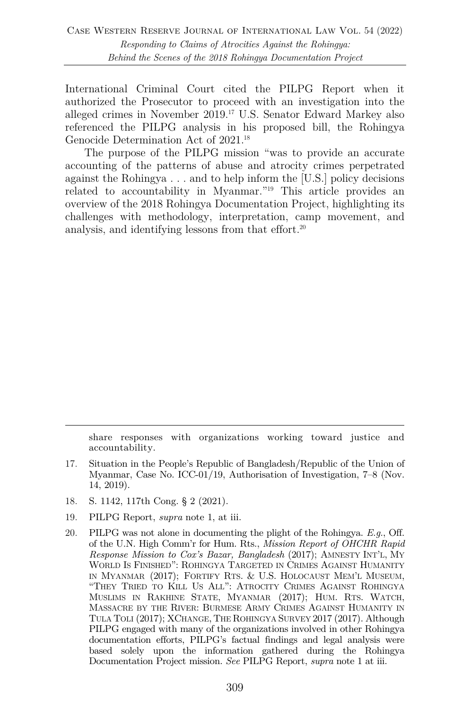International Criminal Court cited the PILPG Report when it authorized the Prosecutor to proceed with an investigation into the alleged crimes in November 2019.17 U.S. Senator Edward Markey also referenced the PILPG analysis in his proposed bill, the Rohingya Genocide Determination Act of 2021.<sup>18</sup>

The purpose of the PILPG mission "was to provide an accurate accounting of the patterns of abuse and atrocity crimes perpetrated against the Rohingya . . . and to help inform the [U.S.] policy decisions related to accountability in Myanmar."19 This article provides an overview of the 2018 Rohingya Documentation Project, highlighting its challenges with methodology, interpretation, camp movement, and analysis, and identifying lessons from that effort.<sup>20</sup>

share responses with organizations working toward justice and accountability.

- 17. Situation in the People's Republic of Bangladesh/Republic of the Union of Myanmar, Case No. ICC-01/19, Authorisation of Investigation, 7–8 (Nov. 14, 2019).
- 18. S. 1142, 117th Cong. § 2 (2021).
- 19. PILPG Report, *supra* note 1, at iii.
- 20. PILPG was not alone in documenting the plight of the Rohingya. *E.g.*, Off. of the U.N. High Comm'r for Hum. Rts., *Mission Report of OHCHR Rapid Response Mission to Cox's Bazar, Bangladesh* (2017); AMNESTY INT'L, MY WORLD IS FINISHED": ROHINGYA TARGETED IN CRIMES AGAINST HUMANITY IN MYANMAR (2017); FORTIFY RTS. & U.S. HOLOCAUST MEM'L MUSEUM, "THEY TRIED TO KILL US ALL": ATROCITY CRIMES AGAINST ROHINGYA MUSLIMS IN RAKHINE STATE, MYANMAR (2017); HUM. RTS. WATCH, MASSACRE BY THE RIVER: BURMESE ARMY CRIMES AGAINST HUMANITY IN TULA TOLI (2017); XCHANGE, THE ROHINGYA SURVEY 2017 (2017). Although PILPG engaged with many of the organizations involved in other Rohingya documentation efforts, PILPG's factual findings and legal analysis were based solely upon the information gathered during the Rohingya Documentation Project mission. *See* PILPG Report, *supra* note 1 at iii.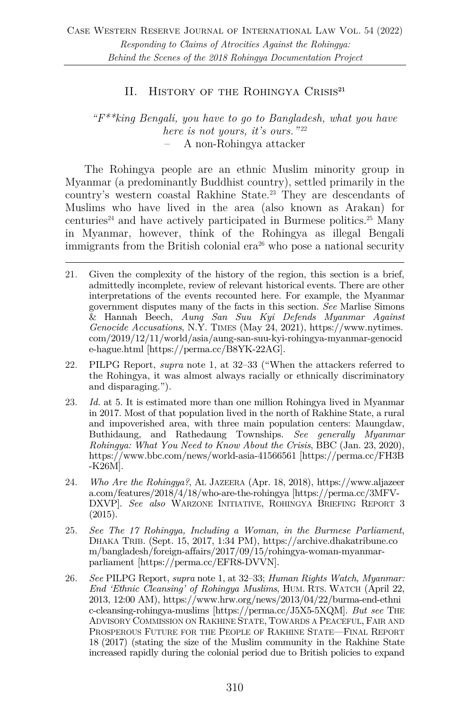# II. History of the Rohingya Crisis**<sup>21</sup>**

#### *"F\*\*king Bengali, you have to go to Bangladesh, what you have here is not yours, it's ours.*"<sup>22</sup> – A non-Rohingya attacker

The Rohingya people are an ethnic Muslim minority group in Myanmar (a predominantly Buddhist country), settled primarily in the country's western coastal Rakhine State.23 They are descendants of Muslims who have lived in the area (also known as Arakan) for centuries<sup>24</sup> and have actively participated in Burmese politics.<sup>25</sup> Many in Myanmar, however, think of the Rohingya as illegal Bengali immigrants from the British colonial  $era^{26}$  who pose a national security

- 22. PILPG Report, *supra* note 1, at 32–33 ("When the attackers referred to the Rohingya, it was almost always racially or ethnically discriminatory and disparaging.").
- 23. *Id.* at 5. It is estimated more than one million Rohingya lived in Myanmar in 2017. Most of that population lived in the north of Rakhine State, a rural and impoverished area, with three main population centers: Maungdaw, Buthidaung, and Rathedaung Townships. *See generally Myanmar Rohingya: What You Need to Know About the Crisis*, BBC (Jan. 23, 2020), https://www.bbc.com/news/world-asia-41566561 [https://perma.cc/FH3B -K26M].
- 24. *Who Are the Rohingya?*, AL JAZEERA (Apr. 18, 2018), https://www.aljazeer a.com/features/2018/4/18/who-are-the-rohingya [https://perma.cc/3MFV-DXVP]. *See also* WARZONE INITIATIVE, ROHINGYA BRIEFING REPORT 3 (2015).
- 25. *See The 17 Rohingya, Including a Woman, in the Burmese Parliament*, DHAKA TRIB. (Sept. 15, 2017, 1:34 PM), https://archive.dhakatribune.co m/bangladesh/foreign-affairs/2017/09/15/rohingya-woman-myanmarparliament [https://perma.cc/EFR8-DVVN].
- 26. *See* PILPG Report, *supra* note 1, at 32–33; *Human Rights Watch, Myanmar: End 'Ethnic Cleansing' of Rohingya Muslims*, HUM. RTS. WATCH (April 22, 2013, 12:00 AM), https://www.hrw.org/news/2013/04/22/burma-end-ethni c-cleansing-rohingya-muslims [https://perma.cc/J5X5-5XQM]. *But see* THE ADVISORY COMMISSION ON RAKHINE STATE, TOWARDS A PEACEFUL, FAIR AND PROSPEROUS FUTURE FOR THE PEOPLE OF RAKHINE STATE—FINAL REPORT 18 (2017) (stating the size of the Muslim community in the Rakhine State increased rapidly during the colonial period due to British policies to expand

<sup>21.</sup> Given the complexity of the history of the region, this section is a brief, admittedly incomplete, review of relevant historical events. There are other interpretations of the events recounted here. For example, the Myanmar government disputes many of the facts in this section. *See* Marlise Simons & Hannah Beech, *Aung San Suu Kyi Defends Myanmar Against Genocide Accusations*, N.Y. TIMES (May 24, 2021), https://www.nytimes. com/2019/12/11/world/asia/aung-san-suu-kyi-rohingya-myanmar-genocid e-hague.html [https://perma.cc/B8YK-22AG].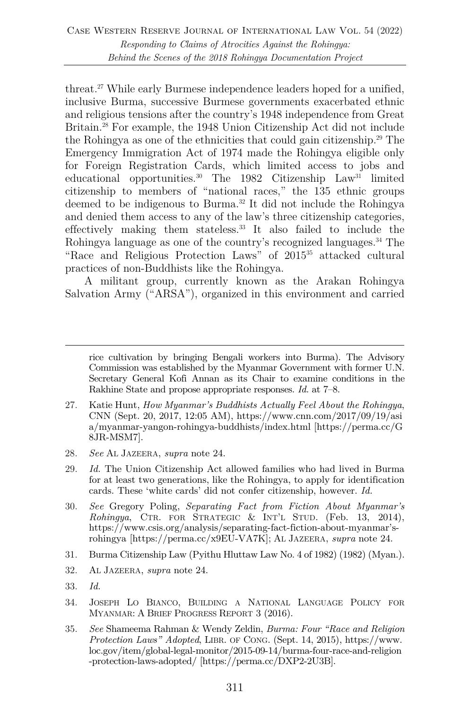threat.27 While early Burmese independence leaders hoped for a unified, inclusive Burma, successive Burmese governments exacerbated ethnic and religious tensions after the country's 1948 independence from Great Britain.28 For example, the 1948 Union Citizenship Act did not include the Rohingya as one of the ethnicities that could gain citizenship.29 The Emergency Immigration Act of 1974 made the Rohingya eligible only for Foreign Registration Cards, which limited access to jobs and educational opportunities.<sup>30</sup> The 1982 Citizenship Law<sup>31</sup> limited citizenship to members of "national races," the 135 ethnic groups deemed to be indigenous to Burma.32 It did not include the Rohingya and denied them access to any of the law's three citizenship categories, effectively making them stateless.33 It also failed to include the Rohingya language as one of the country's recognized languages.<sup>34</sup> The "Race and Religious Protection Laws" of 201535 attacked cultural practices of non-Buddhists like the Rohingya.

A militant group, currently known as the Arakan Rohingya Salvation Army ("ARSA"), organized in this environment and carried

- 27. Katie Hunt, *How Myanmar's Buddhists Actually Feel About the Rohingya*, CNN (Sept. 20, 2017, 12:05 AM), https://www.cnn.com/2017/09/19/asi a/myanmar-yangon-rohingya-buddhists/index.html [https://perma.cc/G 8JR-MSM7].
- 28. *See* AL JAZEERA, *supra* note 24.
- 29. *Id.* The Union Citizenship Act allowed families who had lived in Burma for at least two generations, like the Rohingya, to apply for identification cards. These 'white cards' did not confer citizenship, however. *Id.*
- 30. *See* Gregory Poling, *Separating Fact from Fiction About Myanmar's Rohingya*, CTR. FOR STRATEGIC & INT'L STUD. (Feb. 13, 2014), https://www.csis.org/analysis/separating-fact-fiction-about-myanmar'srohingya [https://perma.cc/x9EU-VA7K]; AL JAZEERA, *supra* note 24.
- 31. Burma Citizenship Law (Pyithu Hluttaw Law No. 4 of 1982) (1982) (Myan.).
- 32. AL JAZEERA, *supra* note 24.
- 33. *Id.*
- 34. JOSEPH LO BIANCO, BUILDING A NATIONAL LANGUAGE POLICY FOR MYANMAR: A BRIEF PROGRESS REPORT 3 (2016).
- 35. *See* Shameema Rahman & Wendy Zeldin, *Burma: Four "Race and Religion Protection Laws" Adopted*, LIBR. OF CONG. (Sept. 14, 2015), https://www. loc.gov/item/global-legal-monitor/2015-09-14/burma-four-race-and-religion -protection-laws-adopted/ [https://perma.cc/DXP2-2U3B].

rice cultivation by bringing Bengali workers into Burma). The Advisory Commission was established by the Myanmar Government with former U.N. Secretary General Kofi Annan as its Chair to examine conditions in the Rakhine State and propose appropriate responses. *Id.* at 7–8.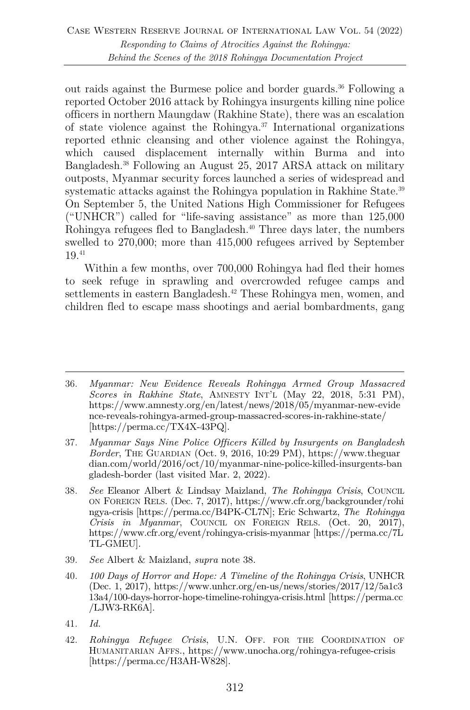out raids against the Burmese police and border guards.<sup>36</sup> Following a reported October 2016 attack by Rohingya insurgents killing nine police officers in northern Maungdaw (Rakhine State), there was an escalation of state violence against the Rohingya.<sup>37</sup> International organizations reported ethnic cleansing and other violence against the Rohingya, which caused displacement internally within Burma and into Bangladesh.38 Following an August 25, 2017 ARSA attack on military outposts, Myanmar security forces launched a series of widespread and systematic attacks against the Rohingya population in Rakhine State.<sup>39</sup> On September 5, the United Nations High Commissioner for Refugees ("UNHCR") called for "life-saving assistance" as more than  $125,000$ Rohingya refugees fled to Bangladesh.<sup>40</sup> Three days later, the numbers swelled to 270,000; more than 415,000 refugees arrived by September 19.41

Within a few months, over 700,000 Rohingya had fled their homes to seek refuge in sprawling and overcrowded refugee camps and settlements in eastern Bangladesh.<sup>42</sup> These Rohingya men, women, and children fled to escape mass shootings and aerial bombardments, gang

- 37. *Myanmar Says Nine Police Officers Killed by Insurgents on Bangladesh Border*, THE GUARDIAN (Oct. 9, 2016, 10:29 PM), https://www.theguar dian.com/world/2016/oct/10/myanmar-nine-police-killed-insurgents-ban gladesh-border (last visited Mar. 2, 2022).
- 38. *See* Eleanor Albert & Lindsay Maizland, *The Rohingya Crisis*, COUNCIL ON FOREIGN RELS. (Dec. 7, 2017), https://www.cfr.org/backgrounder/rohi ngya-crisis [https://perma.cc/B4PK-CL7N]; Eric Schwartz, *The Rohingya Crisis in Myanmar*, COUNCIL ON FOREIGN RELS. (Oct. 20, 2017), https://www.cfr.org/event/rohingya-crisis-myanmar [https://perma.cc/7L TL-GMEU].
- 39. *See* Albert & Maizland, *supra* note 38.
- 40. *100 Days of Horror and Hope: A Timeline of the Rohingya Crisis*, UNHCR (Dec. 1, 2017), https://www.unhcr.org/en-us/news/stories/2017/12/5a1c3 13a4/100-days-horror-hope-timeline-rohingya-crisis.html [https://perma.cc /LJW3-RK6A].
- 41. *Id.*
- 42. *Rohingya Refugee Crisis*, U.N. OFF. FOR THE COORDINATION OF HUMANITARIAN AFFS., https://www.unocha.org/rohingya-refugee-crisis [https://perma.cc/H3AH-W828].

<sup>36.</sup> *Myanmar: New Evidence Reveals Rohingya Armed Group Massacred Scores in Rakhine State*, AMNESTY INT'L (May 22, 2018, 5:31 PM), https://www.amnesty.org/en/latest/news/2018/05/myanmar-new-evide nce-reveals-rohingya-armed-group-massacred-scores-in-rakhine-state/ [https://perma.cc/TX4X-43PQ].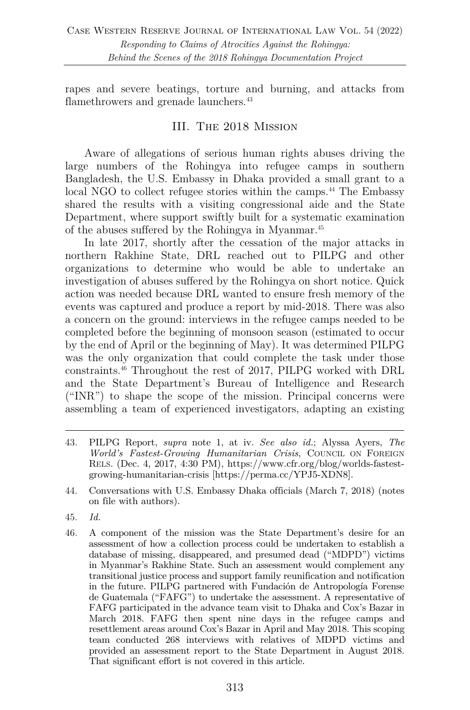rapes and severe beatings, torture and burning, and attacks from flamethrowers and grenade launchers.<sup>43</sup>

# III. The 2018 Mission

Aware of allegations of serious human rights abuses driving the large numbers of the Rohingya into refugee camps in southern Bangladesh, the U.S. Embassy in Dhaka provided a small grant to a local NGO to collect refugee stories within the camps.<sup>44</sup> The Embassy shared the results with a visiting congressional aide and the State Department, where support swiftly built for a systematic examination of the abuses suffered by the Rohingya in Myanmar.45

In late 2017, shortly after the cessation of the major attacks in northern Rakhine State, DRL reached out to PILPG and other organizations to determine who would be able to undertake an investigation of abuses suffered by the Rohingya on short notice. Quick action was needed because DRL wanted to ensure fresh memory of the events was captured and produce a report by mid-2018. There was also a concern on the ground: interviews in the refugee camps needed to be completed before the beginning of monsoon season (estimated to occur by the end of April or the beginning of May). It was determined PILPG was the only organization that could complete the task under those constraints.46 Throughout the rest of 2017, PILPG worked with DRL and the State Department's Bureau of Intelligence and Research ("INR") to shape the scope of the mission. Principal concerns were assembling a team of experienced investigators, adapting an existing

43. PILPG Report, *supra* note 1, at iv. *See also id.*; Alyssa Ayers, *The World's Fastest-Growing Humanitarian Crisis*, COUNCIL ON FOREIGN RELS. (Dec. 4, 2017, 4:30 PM), https://www.cfr.org/blog/worlds-fastestgrowing-humanitarian-crisis [https://perma.cc/YPJ5-XDN8].

- 45. *Id.*
- 46. A component of the mission was the State Department's desire for an assessment of how a collection process could be undertaken to establish a database of missing, disappeared, and presumed dead ("MDPD") victims in Myanmar's Rakhine State. Such an assessment would complement any transitional justice process and support family reunification and notification in the future. PILPG partnered with Fundación de Antropología Forense de Guatemala ("FAFG") to undertake the assessment. A representative of FAFG participated in the advance team visit to Dhaka and Cox's Bazar in March 2018. FAFG then spent nine days in the refugee camps and resettlement areas around Cox's Bazar in April and May 2018. This scoping team conducted 268 interviews with relatives of MDPD victims and provided an assessment report to the State Department in August 2018. That significant effort is not covered in this article.

<sup>44.</sup> Conversations with U.S. Embassy Dhaka officials (March 7, 2018) (notes on file with authors).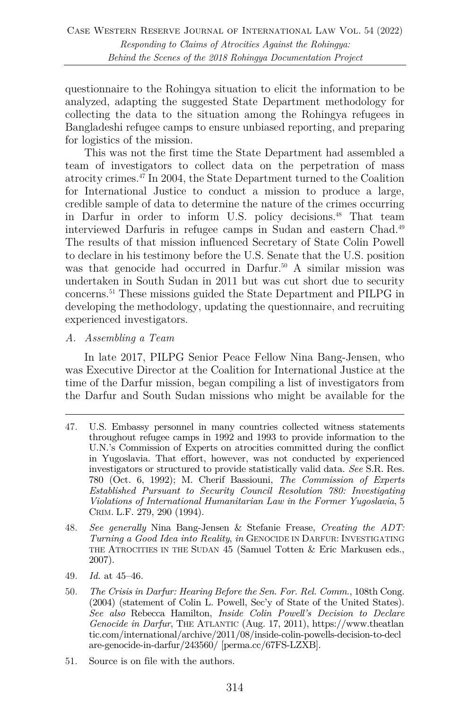questionnaire to the Rohingya situation to elicit the information to be analyzed, adapting the suggested State Department methodology for collecting the data to the situation among the Rohingya refugees in Bangladeshi refugee camps to ensure unbiased reporting, and preparing for logistics of the mission.

This was not the first time the State Department had assembled a team of investigators to collect data on the perpetration of mass atrocity crimes.47 In 2004, the State Department turned to the Coalition for International Justice to conduct a mission to produce a large, credible sample of data to determine the nature of the crimes occurring in Darfur in order to inform U.S. policy decisions.48 That team interviewed Darfuris in refugee camps in Sudan and eastern Chad.49 The results of that mission influenced Secretary of State Colin Powell to declare in his testimony before the U.S. Senate that the U.S. position was that genocide had occurred in Darfur.<sup>50</sup> A similar mission was undertaken in South Sudan in 2011 but was cut short due to security concerns.51 These missions guided the State Department and PILPG in developing the methodology, updating the questionnaire, and recruiting experienced investigators.

#### *A. Assembling a Team*

In late 2017, PILPG Senior Peace Fellow Nina Bang-Jensen, who was Executive Director at the Coalition for International Justice at the time of the Darfur mission, began compiling a list of investigators from the Darfur and South Sudan missions who might be available for the

- 49. *Id.* at 45–46.
- 50. *The Crisis in Darfur: Hearing Before the Sen. For. Rel. Comm.*, 108th Cong. (2004) (statement of Colin L. Powell, Sec'y of State of the United States). *See also* Rebecca Hamilton, *Inside Colin Powell's Decision to Declare Genocide in Darfur*, THE ATLANTIC (Aug. 17, 2011), https://www.theatlan tic.com/international/archive/2011/08/inside-colin-powells-decision-to-decl are-genocide-in-darfur/243560/ [perma.cc/67FS-LZXB].
- 51. Source is on file with the authors.

<sup>47.</sup> U.S. Embassy personnel in many countries collected witness statements throughout refugee camps in 1992 and 1993 to provide information to the U.N.'s Commission of Experts on atrocities committed during the conflict in Yugoslavia. That effort, however, was not conducted by experienced investigators or structured to provide statistically valid data. *See* S.R. Res. 780 (Oct. 6, 1992); M. Cherif Bassiouni, *The Commission of Experts Established Pursuant to Security Council Resolution 780: Investigating Violations of International Humanitarian Law in the Former Yugoslavia*, 5 CRIM. L.F. 279, 290 (1994).

<sup>48.</sup> *See generally* Nina Bang-Jensen & Stefanie Frease, *Creating the ADT: Turning a Good Idea into Reality*, *in* GENOCIDE IN DARFUR: INVESTIGATING THE ATROCITIES IN THE SUDAN 45 (Samuel Totten & Eric Markusen eds., 2007).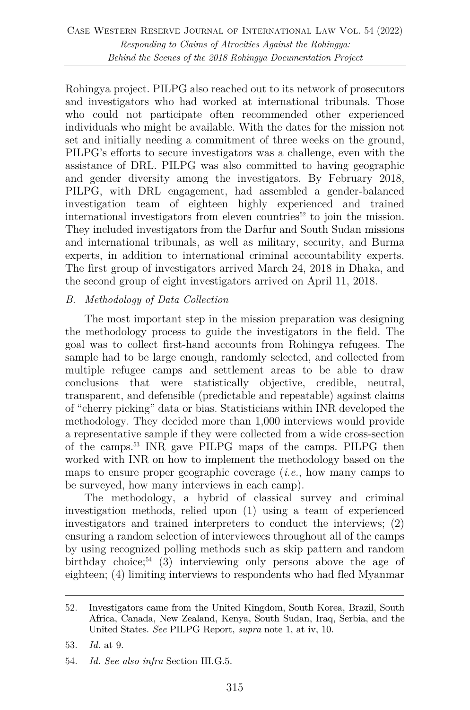Rohingya project. PILPG also reached out to its network of prosecutors and investigators who had worked at international tribunals. Those who could not participate often recommended other experienced individuals who might be available. With the dates for the mission not set and initially needing a commitment of three weeks on the ground, PILPG's efforts to secure investigators was a challenge, even with the assistance of DRL. PILPG was also committed to having geographic and gender diversity among the investigators. By February 2018, PILPG, with DRL engagement, had assembled a gender-balanced investigation team of eighteen highly experienced and trained international investigators from eleven countries<sup>52</sup> to join the mission. They included investigators from the Darfur and South Sudan missions and international tribunals, as well as military, security, and Burma experts, in addition to international criminal accountability experts. The first group of investigators arrived March 24, 2018 in Dhaka, and the second group of eight investigators arrived on April 11, 2018.

# *B. Methodology of Data Collection*

The most important step in the mission preparation was designing the methodology process to guide the investigators in the field. The goal was to collect first-hand accounts from Rohingya refugees. The sample had to be large enough, randomly selected, and collected from multiple refugee camps and settlement areas to be able to draw conclusions that were statistically objective, credible, neutral, transparent, and defensible (predictable and repeatable) against claims of "cherry picking" data or bias. Statisticians within INR developed the methodology. They decided more than 1,000 interviews would provide a representative sample if they were collected from a wide cross-section of the camps.53 INR gave PILPG maps of the camps. PILPG then worked with INR on how to implement the methodology based on the maps to ensure proper geographic coverage (*i.e.*, how many camps to be surveyed, how many interviews in each camp).

The methodology, a hybrid of classical survey and criminal investigation methods, relied upon (1) using a team of experienced investigators and trained interpreters to conduct the interviews; (2) ensuring a random selection of interviewees throughout all of the camps by using recognized polling methods such as skip pattern and random birthday choice;<sup>54</sup> (3) interviewing only persons above the age of eighteen; (4) limiting interviews to respondents who had fled Myanmar

<sup>52.</sup> Investigators came from the United Kingdom, South Korea, Brazil, South Africa, Canada, New Zealand, Kenya, South Sudan, Iraq, Serbia, and the United States. *See* PILPG Report, *supra* note 1, at iv, 10.

<sup>53.</sup> *Id.* at 9.

<sup>54.</sup> *Id. See also infra* Section III.G.5.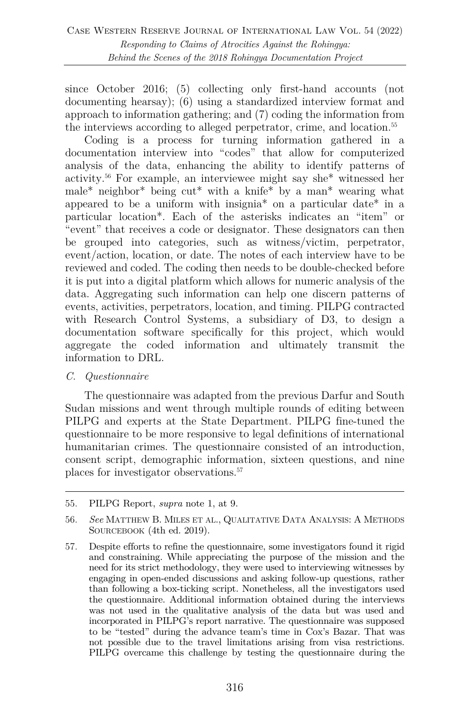since October 2016; (5) collecting only first-hand accounts (not documenting hearsay); (6) using a standardized interview format and approach to information gathering; and (7) coding the information from the interviews according to alleged perpetrator, crime, and location.<sup>55</sup>

Coding is a process for turning information gathered in a documentation interview into "codes" that allow for computerized analysis of the data, enhancing the ability to identify patterns of activity.56 For example, an interviewee might say she\* witnessed her male\* neighbor\* being cut\* with a knife\* by a man\* wearing what appeared to be a uniform with insignia\* on a particular date\* in a particular location\*. Each of the asterisks indicates an "item" or "event" that receives a code or designator. These designators can then be grouped into categories, such as witness/victim, perpetrator, event/action, location, or date. The notes of each interview have to be reviewed and coded. The coding then needs to be double-checked before it is put into a digital platform which allows for numeric analysis of the data. Aggregating such information can help one discern patterns of events, activities, perpetrators, location, and timing. PILPG contracted with Research Control Systems, a subsidiary of D3, to design a documentation software specifically for this project, which would aggregate the coded information and ultimately transmit the information to DRL.

#### *C. Questionnaire*

The questionnaire was adapted from the previous Darfur and South Sudan missions and went through multiple rounds of editing between PILPG and experts at the State Department. PILPG fine-tuned the questionnaire to be more responsive to legal definitions of international humanitarian crimes. The questionnaire consisted of an introduction, consent script, demographic information, sixteen questions, and nine places for investigator observations.57

<sup>55.</sup> PILPG Report, *supra* note 1, at 9.

<sup>56.</sup> *See* MATTHEW B. MILES ET AL., QUALITATIVE DATA ANALYSIS: A METHODS SOURCEBOOK (4th ed. 2019).

<sup>57.</sup> Despite efforts to refine the questionnaire, some investigators found it rigid and constraining. While appreciating the purpose of the mission and the need for its strict methodology, they were used to interviewing witnesses by engaging in open-ended discussions and asking follow-up questions, rather than following a box-ticking script. Nonetheless, all the investigators used the questionnaire. Additional information obtained during the interviews was not used in the qualitative analysis of the data but was used and incorporated in PILPG's report narrative. The questionnaire was supposed to be "tested" during the advance team's time in Cox's Bazar. That was not possible due to the travel limitations arising from visa restrictions. PILPG overcame this challenge by testing the questionnaire during the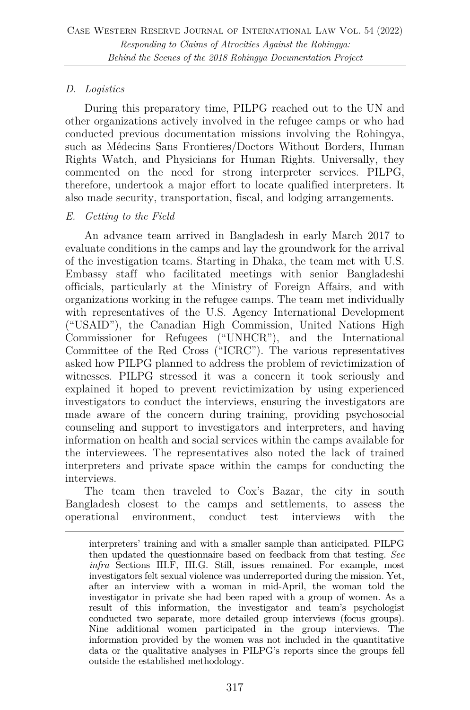# *D. Logistics*

During this preparatory time, PILPG reached out to the UN and other organizations actively involved in the refugee camps or who had conducted previous documentation missions involving the Rohingya, such as Médecins Sans Frontieres/Doctors Without Borders, Human Rights Watch, and Physicians for Human Rights. Universally, they commented on the need for strong interpreter services. PILPG, therefore, undertook a major effort to locate qualified interpreters. It also made security, transportation, fiscal, and lodging arrangements.

#### *E. Getting to the Field*

An advance team arrived in Bangladesh in early March 2017 to evaluate conditions in the camps and lay the groundwork for the arrival of the investigation teams. Starting in Dhaka, the team met with U.S. Embassy staff who facilitated meetings with senior Bangladeshi officials, particularly at the Ministry of Foreign Affairs, and with organizations working in the refugee camps. The team met individually with representatives of the U.S. Agency International Development ("USAID"), the Canadian High Commission, United Nations High Commissioner for Refugees ("UNHCR"), and the International Committee of the Red Cross ("ICRC"). The various representatives asked how PILPG planned to address the problem of revictimization of witnesses. PILPG stressed it was a concern it took seriously and explained it hoped to prevent revictimization by using experienced investigators to conduct the interviews, ensuring the investigators are made aware of the concern during training, providing psychosocial counseling and support to investigators and interpreters, and having information on health and social services within the camps available for the interviewees. The representatives also noted the lack of trained interpreters and private space within the camps for conducting the interviews.

The team then traveled to Cox's Bazar, the city in south Bangladesh closest to the camps and settlements, to assess the operational environment, conduct test interviews with the

interpreters' training and with a smaller sample than anticipated. PILPG then updated the questionnaire based on feedback from that testing. *See infra* Sections III.F, III.G. Still, issues remained. For example, most investigators felt sexual violence was underreported during the mission. Yet, after an interview with a woman in mid-April, the woman told the investigator in private she had been raped with a group of women. As a result of this information, the investigator and team's psychologist conducted two separate, more detailed group interviews (focus groups). Nine additional women participated in the group interviews. The information provided by the women was not included in the quantitative data or the qualitative analyses in PILPG's reports since the groups fell outside the established methodology.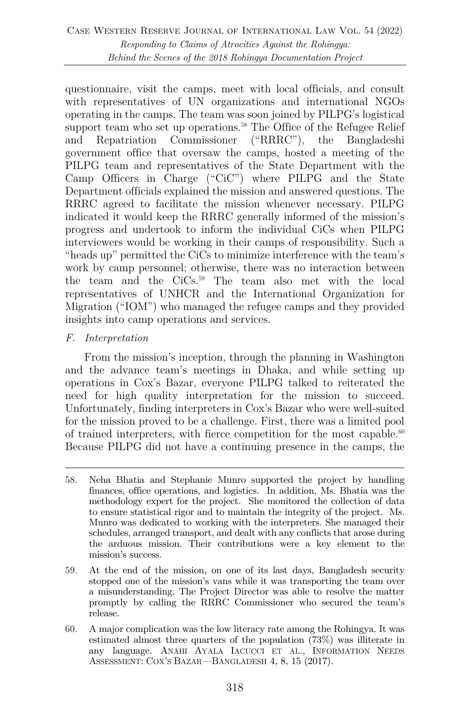questionnaire, visit the camps, meet with local officials, and consult with representatives of UN organizations and international NGOs operating in the camps. The team was soon joined by PILPG's logistical support team who set up operations.<sup>58</sup> The Office of the Refugee Relief and Repatriation Commissioner ("RRRC"), the Bangladeshi government office that oversaw the camps, hosted a meeting of the PILPG team and representatives of the State Department with the Camp Officers in Charge ("CiC") where PILPG and the State Department officials explained the mission and answered questions. The RRRC agreed to facilitate the mission whenever necessary. PILPG indicated it would keep the RRRC generally informed of the mission's progress and undertook to inform the individual CiCs when PILPG interviewers would be working in their camps of responsibility. Such a "heads up" permitted the CiCs to minimize interference with the team's work by camp personnel; otherwise, there was no interaction between the team and the CiCs.59 The team also met with the local representatives of UNHCR and the International Organization for Migration ("IOM") who managed the refugee camps and they provided insights into camp operations and services.

#### *F. Interpretation*

From the mission's inception, through the planning in Washington and the advance team's meetings in Dhaka, and while setting up operations in Cox's Bazar, everyone PILPG talked to reiterated the need for high quality interpretation for the mission to succeed. Unfortunately, finding interpreters in Cox's Bazar who were well-suited for the mission proved to be a challenge. First, there was a limited pool of trained interpreters, with fierce competition for the most capable. $60$ Because PILPG did not have a continuing presence in the camps, the

- 59. At the end of the mission, on one of its last days, Bangladesh security stopped one of the mission's vans while it was transporting the team over a misunderstanding. The Project Director was able to resolve the matter promptly by calling the RRRC Commissioner who secured the team's release.
- 60. A major complication was the low literacy rate among the Rohingya. It was estimated almost three quarters of the population (73%) was illiterate in any language. ANAHI AYALA IACUCCI ET AL., INFORMATION NEEDS ASSESSMENT: COX'S BAZAR—BANGLADESH 4, 8, 15 (2017).

<sup>58.</sup> Neha Bhatia and Stephanie Munro supported the project by handling finances, office operations, and logistics. In addition, Ms. Bhatia was the methodology expert for the project. She monitored the collection of data to ensure statistical rigor and to maintain the integrity of the project. Ms. Munro was dedicated to working with the interpreters. She managed their schedules, arranged transport, and dealt with any conflicts that arose during the arduous mission. Their contributions were a key element to the mission's success.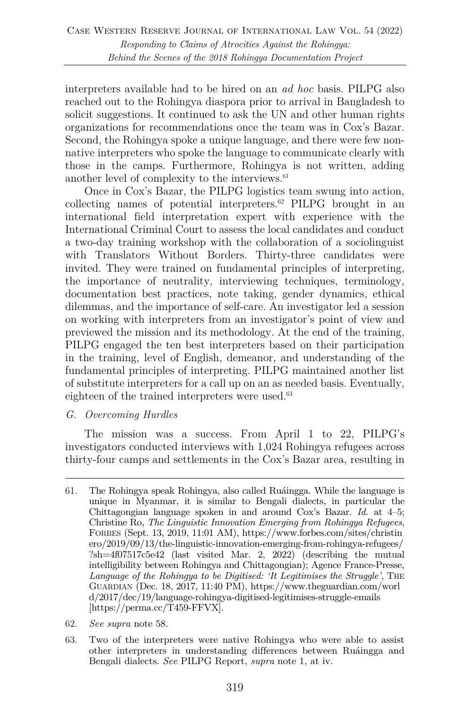interpreters available had to be hired on an *ad hoc* basis. PILPG also reached out to the Rohingya diaspora prior to arrival in Bangladesh to solicit suggestions. It continued to ask the UN and other human rights organizations for recommendations once the team was in Cox's Bazar. Second, the Rohingya spoke a unique language, and there were few nonnative interpreters who spoke the language to communicate clearly with those in the camps. Furthermore, Rohingya is not written, adding another level of complexity to the interviews.<sup>61</sup>

Once in Cox's Bazar, the PILPG logistics team swung into action, collecting names of potential interpreters.62 PILPG brought in an international field interpretation expert with experience with the International Criminal Court to assess the local candidates and conduct a two-day training workshop with the collaboration of a sociolinguist with Translators Without Borders. Thirty-three candidates were invited. They were trained on fundamental principles of interpreting, the importance of neutrality, interviewing techniques, terminology, documentation best practices, note taking, gender dynamics, ethical dilemmas, and the importance of self-care. An investigator led a session on working with interpreters from an investigator's point of view and previewed the mission and its methodology. At the end of the training, PILPG engaged the ten best interpreters based on their participation in the training, level of English, demeanor, and understanding of the fundamental principles of interpreting. PILPG maintained another list of substitute interpreters for a call up on an as needed basis. Eventually, eighteen of the trained interpreters were used.<sup>63</sup>

#### *G. Overcoming Hurdles*

The mission was a success. From April 1 to 22, PILPG's investigators conducted interviews with 1,024 Rohingya refugees across thirty-four camps and settlements in the Cox's Bazar area, resulting in

- 62. *See supra* note 58.
- 63. Two of the interpreters were native Rohingya who were able to assist other interpreters in understanding differences between Ruáingga and Bengali dialects. *See* PILPG Report, *supra* note 1, at iv.

<sup>61.</sup> The Rohingya speak Rohingya, also called Ruáingga. While the language is unique in Myanmar, it is similar to Bengali dialects, in particular the Chittagongian language spoken in and around Cox's Bazar. *Id.* at 4–5; Christine Ro, *The Linguistic Innovation Emerging from Rohingya Refugees*, FORBES (Sept. 13, 2019, 11:01 AM), https://www.forbes.com/sites/christin ero/2019/09/13/the-linguistic-innovation-emerging-from-rohingya-refugees/ ?sh=4f07517c5e42 (last visited Mar. 2, 2022) (describing the mutual intelligibility between Rohingya and Chittagongian); Agence France-Presse, *Language of the Rohingya to be Digitised: 'It Legitimises the Struggle'*, THE GUARDIAN (Dec. 18, 2017, 11:40 PM), https://www.theguardian.com/worl d/2017/dec/19/language-rohingya-digitised-legitimises-struggle-emails [https://perma.cc/T459-FFVX].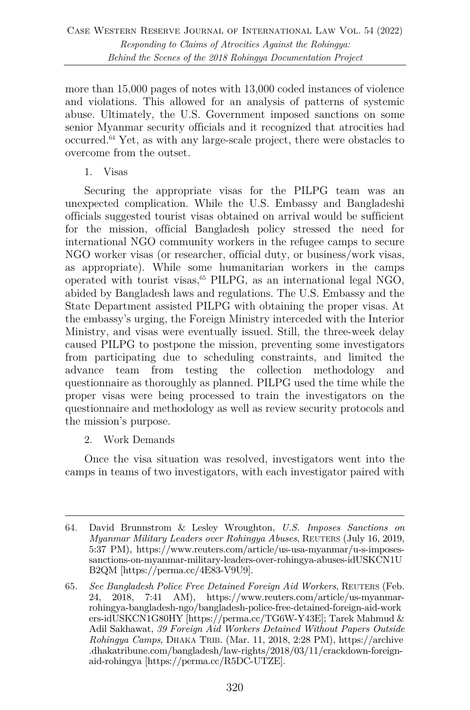more than 15,000 pages of notes with 13,000 coded instances of violence and violations. This allowed for an analysis of patterns of systemic abuse. Ultimately, the U.S. Government imposed sanctions on some senior Myanmar security officials and it recognized that atrocities had occurred.64 Yet, as with any large-scale project, there were obstacles to overcome from the outset.

1. Visas

Securing the appropriate visas for the PILPG team was an unexpected complication. While the U.S. Embassy and Bangladeshi officials suggested tourist visas obtained on arrival would be sufficient for the mission, official Bangladesh policy stressed the need for international NGO community workers in the refugee camps to secure NGO worker visas (or researcher, official duty, or business/work visas, as appropriate). While some humanitarian workers in the camps operated with tourist visas, $65$  PILPG, as an international legal NGO, abided by Bangladesh laws and regulations. The U.S. Embassy and the State Department assisted PILPG with obtaining the proper visas. At the embassy's urging, the Foreign Ministry interceded with the Interior Ministry, and visas were eventually issued. Still, the three-week delay caused PILPG to postpone the mission, preventing some investigators from participating due to scheduling constraints, and limited the advance team from testing the collection methodology and questionnaire as thoroughly as planned. PILPG used the time while the proper visas were being processed to train the investigators on the questionnaire and methodology as well as review security protocols and the mission's purpose.

2. Work Demands

Once the visa situation was resolved, investigators went into the camps in teams of two investigators, with each investigator paired with

<sup>64.</sup> David Brunnstrom & Lesley Wroughton, *U.S. Imposes Sanctions on Myanmar Military Leaders over Rohingya Abuses*, REUTERS (July 16, 2019, 5:37 PM), https://www.reuters.com/article/us-usa-myanmar/u-s-imposessanctions-on-myanmar-military-leaders-over-rohingya-abuses-idUSKCN1U B2QM [https://perma.cc/4E83-V9U9].

<sup>65.</sup> *See Bangladesh Police Free Detained Foreign Aid Workers*, REUTERS (Feb. 24, 2018, 7:41 AM), https://www.reuters.com/article/us-myanmarrohingya-bangladesh-ngo/bangladesh-police-free-detained-foreign-aid-work ers-idUSKCN1G80HY [https://perma.cc/TG6W-Y43E]; Tarek Mahmud & Adil Sakhawat, *39 Foreign Aid Workers Detained Without Papers Outside Rohingya Camps*, DHAKA TRIB. (Mar. 11, 2018, 2:28 PM), https://archive .dhakatribune.com/bangladesh/law-rights/2018/03/11/crackdown-foreignaid-rohingya [https://perma.cc/R5DC-UTZE].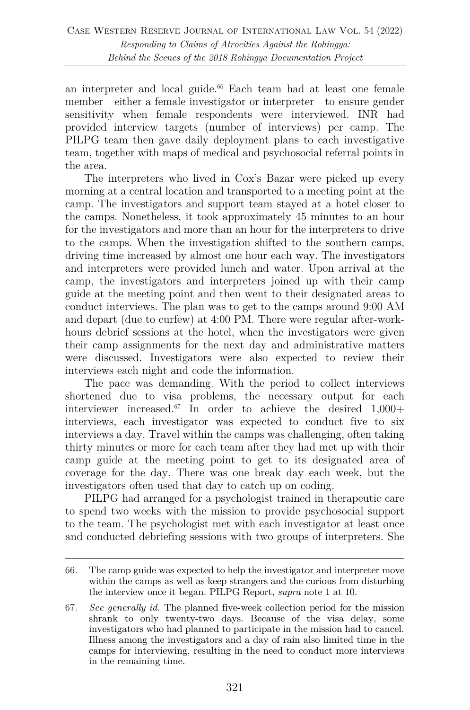an interpreter and local guide.<sup>66</sup> Each team had at least one female member—either a female investigator or interpreter—to ensure gender sensitivity when female respondents were interviewed. INR had provided interview targets (number of interviews) per camp. The PILPG team then gave daily deployment plans to each investigative team, together with maps of medical and psychosocial referral points in the area.

The interpreters who lived in Cox's Bazar were picked up every morning at a central location and transported to a meeting point at the camp. The investigators and support team stayed at a hotel closer to the camps. Nonetheless, it took approximately 45 minutes to an hour for the investigators and more than an hour for the interpreters to drive to the camps. When the investigation shifted to the southern camps, driving time increased by almost one hour each way. The investigators and interpreters were provided lunch and water. Upon arrival at the camp, the investigators and interpreters joined up with their camp guide at the meeting point and then went to their designated areas to conduct interviews. The plan was to get to the camps around 9:00 AM and depart (due to curfew) at 4:00 PM. There were regular after-workhours debrief sessions at the hotel, when the investigators were given their camp assignments for the next day and administrative matters were discussed. Investigators were also expected to review their interviews each night and code the information.

The pace was demanding. With the period to collect interviews shortened due to visa problems, the necessary output for each interviewer increased.<sup>67</sup> In order to achieve the desired  $1,000+$ interviews, each investigator was expected to conduct five to six interviews a day. Travel within the camps was challenging, often taking thirty minutes or more for each team after they had met up with their camp guide at the meeting point to get to its designated area of coverage for the day. There was one break day each week, but the investigators often used that day to catch up on coding.

PILPG had arranged for a psychologist trained in therapeutic care to spend two weeks with the mission to provide psychosocial support to the team. The psychologist met with each investigator at least once and conducted debriefing sessions with two groups of interpreters. She

67. *See generally id.* The planned five-week collection period for the mission shrank to only twenty-two days. Because of the visa delay, some investigators who had planned to participate in the mission had to cancel. Illness among the investigators and a day of rain also limited time in the camps for interviewing, resulting in the need to conduct more interviews in the remaining time.

<sup>66.</sup> The camp guide was expected to help the investigator and interpreter move within the camps as well as keep strangers and the curious from disturbing the interview once it began. PILPG Report, *supra* note 1 at 10.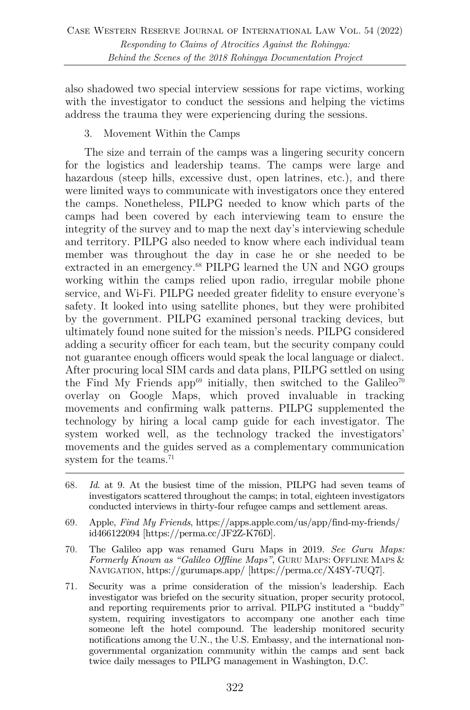also shadowed two special interview sessions for rape victims, working with the investigator to conduct the sessions and helping the victims address the trauma they were experiencing during the sessions.

#### 3. Movement Within the Camps

The size and terrain of the camps was a lingering security concern for the logistics and leadership teams. The camps were large and hazardous (steep hills, excessive dust, open latrines, etc.), and there were limited ways to communicate with investigators once they entered the camps. Nonetheless, PILPG needed to know which parts of the camps had been covered by each interviewing team to ensure the integrity of the survey and to map the next day's interviewing schedule and territory. PILPG also needed to know where each individual team member was throughout the day in case he or she needed to be extracted in an emergency.<sup>68</sup> PILPG learned the UN and NGO groups working within the camps relied upon radio, irregular mobile phone service, and Wi-Fi. PILPG needed greater fidelity to ensure everyone's safety. It looked into using satellite phones, but they were prohibited by the government. PILPG examined personal tracking devices, but ultimately found none suited for the mission's needs. PILPG considered adding a security officer for each team, but the security company could not guarantee enough officers would speak the local language or dialect. After procuring local SIM cards and data plans, PILPG settled on using the Find My Friends app<sup>69</sup> initially, then switched to the Galileo<sup>70</sup> overlay on Google Maps, which proved invaluable in tracking movements and confirming walk patterns. PILPG supplemented the technology by hiring a local camp guide for each investigator. The system worked well, as the technology tracked the investigators' movements and the guides served as a complementary communication system for the teams.<sup>71</sup>

- 68. *Id*. at 9. At the busiest time of the mission, PILPG had seven teams of investigators scattered throughout the camps; in total, eighteen investigators conducted interviews in thirty-four refugee camps and settlement areas.
- 69. Apple, *Find My Friends*, https://apps.apple.com/us/app/find-my-friends/ id466122094 [https://perma.cc/JF2Z-K76D].
- 70. The Galileo app was renamed Guru Maps in 2019. *See Guru Maps: Formerly Known as "Galileo Offline Maps"*, GURU MAPS: OFFLINE MAPS & NAVIGATION, https://gurumaps.app/ [https://perma.cc/X4SY-7UQ7].
- 71. Security was a prime consideration of the mission's leadership. Each investigator was briefed on the security situation, proper security protocol, and reporting requirements prior to arrival. PILPG instituted a "buddy" system, requiring investigators to accompany one another each time someone left the hotel compound. The leadership monitored security notifications among the U.N., the U.S. Embassy, and the international nongovernmental organization community within the camps and sent back twice daily messages to PILPG management in Washington, D.C.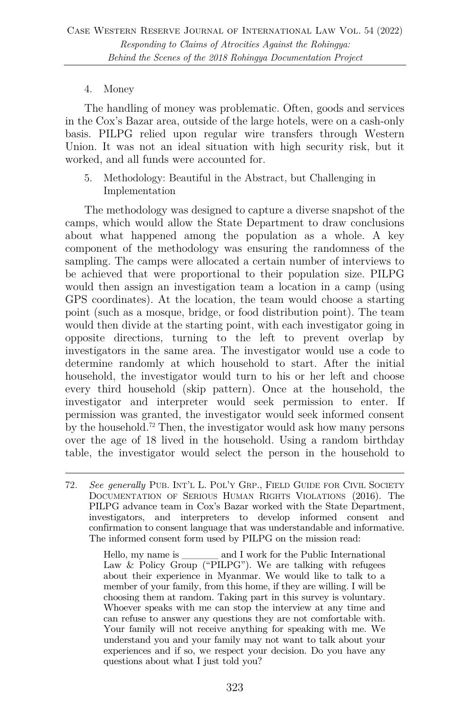#### 4. Money

The handling of money was problematic. Often, goods and services in the Cox's Bazar area, outside of the large hotels, were on a cash-only basis. PILPG relied upon regular wire transfers through Western Union. It was not an ideal situation with high security risk, but it worked, and all funds were accounted for.

5. Methodology: Beautiful in the Abstract, but Challenging in Implementation

The methodology was designed to capture a diverse snapshot of the camps, which would allow the State Department to draw conclusions about what happened among the population as a whole. A key component of the methodology was ensuring the randomness of the sampling. The camps were allocated a certain number of interviews to be achieved that were proportional to their population size. PILPG would then assign an investigation team a location in a camp (using GPS coordinates). At the location, the team would choose a starting point (such as a mosque, bridge, or food distribution point). The team would then divide at the starting point, with each investigator going in opposite directions, turning to the left to prevent overlap by investigators in the same area. The investigator would use a code to determine randomly at which household to start. After the initial household, the investigator would turn to his or her left and choose every third household (skip pattern). Once at the household, the investigator and interpreter would seek permission to enter. If permission was granted, the investigator would seek informed consent by the household.72 Then, the investigator would ask how many persons over the age of 18 lived in the household. Using a random birthday table, the investigator would select the person in the household to

<sup>72.</sup> *See generally* PUB. INT'L L. POL'Y GRP., FIELD GUIDE FOR CIVIL SOCIETY DOCUMENTATION OF SERIOUS HUMAN RIGHTS VIOLATIONS (2016). The PILPG advance team in Cox's Bazar worked with the State Department, investigators, and interpreters to develop informed consent and confirmation to consent language that was understandable and informative. The informed consent form used by PILPG on the mission read:

Hello, my name is \_\_\_\_\_ and I work for the Public International Law & Policy Group ("PILPG"). We are talking with refugees about their experience in Myanmar. We would like to talk to a member of your family, from this home, if they are willing. I will be choosing them at random. Taking part in this survey is voluntary. Whoever speaks with me can stop the interview at any time and can refuse to answer any questions they are not comfortable with. Your family will not receive anything for speaking with me. We understand you and your family may not want to talk about your experiences and if so, we respect your decision. Do you have any questions about what I just told you?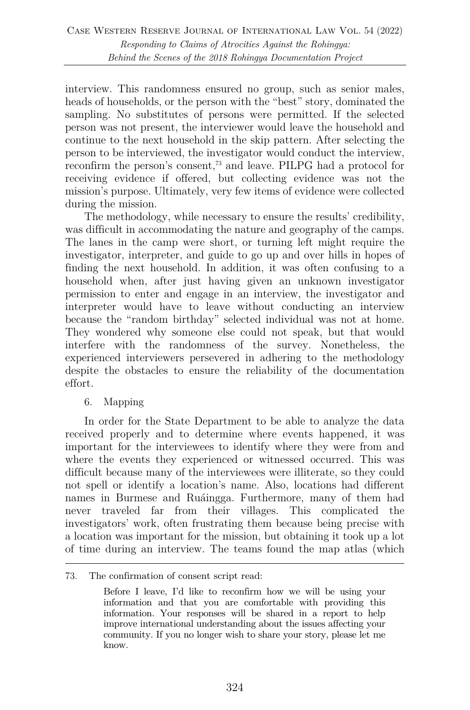interview. This randomness ensured no group, such as senior males, heads of households, or the person with the "best" story, dominated the sampling. No substitutes of persons were permitted. If the selected person was not present, the interviewer would leave the household and continue to the next household in the skip pattern. After selecting the person to be interviewed, the investigator would conduct the interview, reconfirm the person's consent,73 and leave. PILPG had a protocol for receiving evidence if offered, but collecting evidence was not the mission's purpose. Ultimately, very few items of evidence were collected during the mission.

The methodology, while necessary to ensure the results' credibility, was difficult in accommodating the nature and geography of the camps. The lanes in the camp were short, or turning left might require the investigator, interpreter, and guide to go up and over hills in hopes of finding the next household. In addition, it was often confusing to a household when, after just having given an unknown investigator permission to enter and engage in an interview, the investigator and interpreter would have to leave without conducting an interview because the "random birthday" selected individual was not at home. They wondered why someone else could not speak, but that would interfere with the randomness of the survey. Nonetheless, the experienced interviewers persevered in adhering to the methodology despite the obstacles to ensure the reliability of the documentation effort.

6. Mapping

In order for the State Department to be able to analyze the data received properly and to determine where events happened, it was important for the interviewees to identify where they were from and where the events they experienced or witnessed occurred. This was difficult because many of the interviewees were illiterate, so they could not spell or identify a location's name. Also, locations had different names in Burmese and Ruáingga. Furthermore, many of them had never traveled far from their villages. This complicated the investigators' work, often frustrating them because being precise with a location was important for the mission, but obtaining it took up a lot of time during an interview. The teams found the map atlas (which

<sup>73.</sup> The confirmation of consent script read:

Before I leave, I'd like to reconfirm how we will be using your information and that you are comfortable with providing this information. Your responses will be shared in a report to help improve international understanding about the issues affecting your community. If you no longer wish to share your story, please let me know.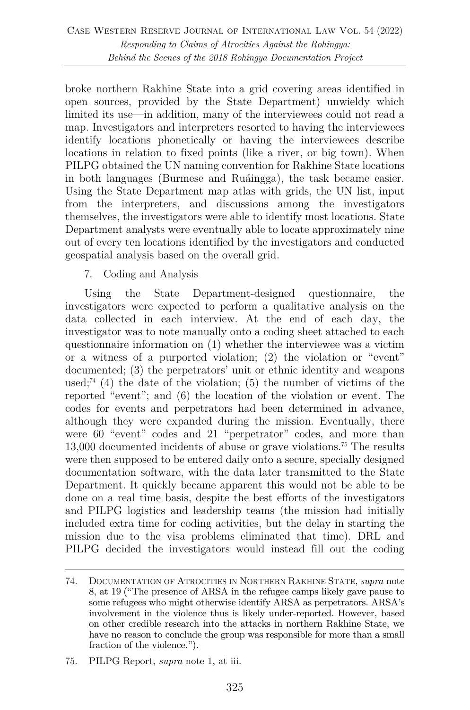broke northern Rakhine State into a grid covering areas identified in open sources, provided by the State Department) unwieldy which limited its use—in addition, many of the interviewees could not read a map. Investigators and interpreters resorted to having the interviewees identify locations phonetically or having the interviewees describe locations in relation to fixed points (like a river, or big town). When PILPG obtained the UN naming convention for Rakhine State locations in both languages (Burmese and Ruáingga), the task became easier. Using the State Department map atlas with grids, the UN list, input from the interpreters, and discussions among the investigators themselves, the investigators were able to identify most locations. State Department analysts were eventually able to locate approximately nine out of every ten locations identified by the investigators and conducted geospatial analysis based on the overall grid.

# 7. Coding and Analysis

Using the State Department-designed questionnaire, the investigators were expected to perform a qualitative analysis on the data collected in each interview. At the end of each day, the investigator was to note manually onto a coding sheet attached to each questionnaire information on (1) whether the interviewee was a victim or a witness of a purported violation; (2) the violation or "event" documented; (3) the perpetrators' unit or ethnic identity and weapons used;<sup>74</sup> (4) the date of the violation; (5) the number of victims of the reported "event"; and (6) the location of the violation or event. The codes for events and perpetrators had been determined in advance, although they were expanded during the mission. Eventually, there were 60 "event" codes and 21 "perpetrator" codes, and more than 13,000 documented incidents of abuse or grave violations.75 The results were then supposed to be entered daily onto a secure, specially designed documentation software, with the data later transmitted to the State Department. It quickly became apparent this would not be able to be done on a real time basis, despite the best efforts of the investigators and PILPG logistics and leadership teams (the mission had initially included extra time for coding activities, but the delay in starting the mission due to the visa problems eliminated that time). DRL and PILPG decided the investigators would instead fill out the coding

<sup>74.</sup> DOCUMENTATION OF ATROCITIES IN NORTHERN RAKHINE STATE, *supra* note 8, at 19 ("The presence of ARSA in the refugee camps likely gave pause to some refugees who might otherwise identify ARSA as perpetrators. ARSA's involvement in the violence thus is likely under-reported. However, based on other credible research into the attacks in northern Rakhine State, we have no reason to conclude the group was responsible for more than a small fraction of the violence.").

<sup>75.</sup> PILPG Report, *supra* note 1, at iii.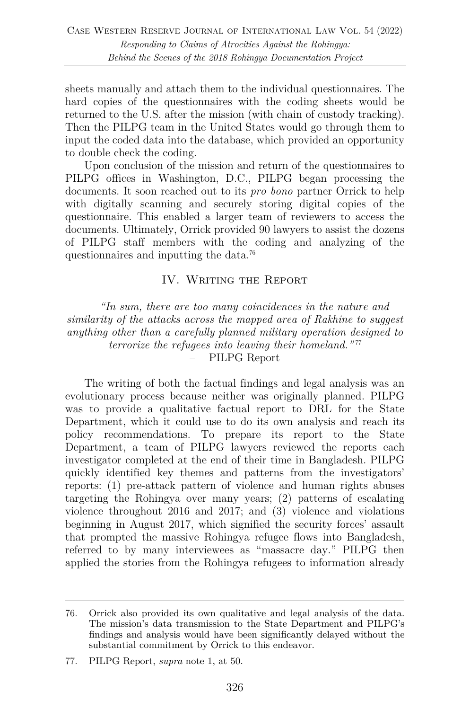sheets manually and attach them to the individual questionnaires. The hard copies of the questionnaires with the coding sheets would be returned to the U.S. after the mission (with chain of custody tracking). Then the PILPG team in the United States would go through them to input the coded data into the database, which provided an opportunity to double check the coding.

Upon conclusion of the mission and return of the questionnaires to PILPG offices in Washington, D.C., PILPG began processing the documents. It soon reached out to its *pro bono* partner Orrick to help with digitally scanning and securely storing digital copies of the questionnaire. This enabled a larger team of reviewers to access the documents. Ultimately, Orrick provided 90 lawyers to assist the dozens of PILPG staff members with the coding and analyzing of the questionnaires and inputting the data.76

# IV. WRITING THE REPORT

*"In sum, there are too many coincidences in the nature and similarity of the attacks across the mapped area of Rakhine to suggest anything other than a carefully planned military operation designed to terrorize the refugees into leaving their homeland.*"<sup>77</sup> – PILPG Report

The writing of both the factual findings and legal analysis was an evolutionary process because neither was originally planned. PILPG was to provide a qualitative factual report to DRL for the State Department, which it could use to do its own analysis and reach its policy recommendations. To prepare its report to the State Department, a team of PILPG lawyers reviewed the reports each investigator completed at the end of their time in Bangladesh. PILPG quickly identified key themes and patterns from the investigators' reports: (1) pre-attack pattern of violence and human rights abuses targeting the Rohingya over many years; (2) patterns of escalating violence throughout 2016 and 2017; and (3) violence and violations beginning in August 2017, which signified the security forces' assault that prompted the massive Rohingya refugee flows into Bangladesh, referred to by many interviewees as "massacre day." PILPG then applied the stories from the Rohingya refugees to information already

<sup>76.</sup> Orrick also provided its own qualitative and legal analysis of the data. The mission's data transmission to the State Department and PILPG's findings and analysis would have been significantly delayed without the substantial commitment by Orrick to this endeavor.

<sup>77.</sup> PILPG Report, *supra* note 1, at 50.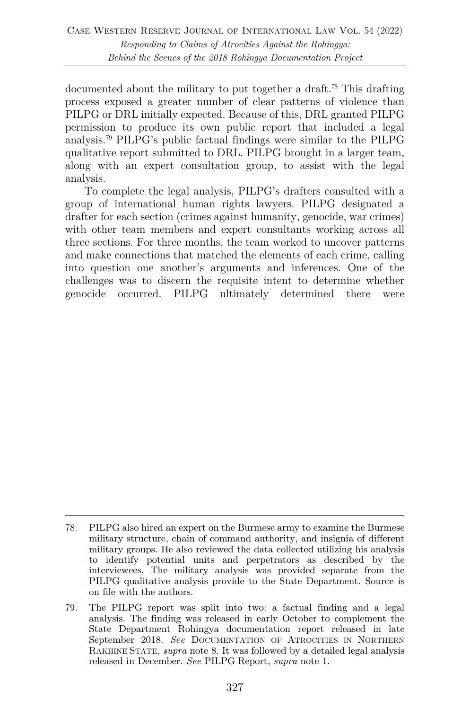documented about the military to put together a draft.78 This drafting process exposed a greater number of clear patterns of violence than PILPG or DRL initially expected. Because of this, DRL granted PILPG permission to produce its own public report that included a legal analysis.79 PILPG's public factual findings were similar to the PILPG qualitative report submitted to DRL. PILPG brought in a larger team, along with an expert consultation group, to assist with the legal analysis.

To complete the legal analysis, PILPG's drafters consulted with a group of international human rights lawyers. PILPG designated a drafter for each section (crimes against humanity, genocide, war crimes) with other team members and expert consultants working across all three sections. For three months, the team worked to uncover patterns and make connections that matched the elements of each crime, calling into question one another's arguments and inferences. One of the challenges was to discern the requisite intent to determine whether genocide occurred. PILPG ultimately determined there were

<sup>78.</sup> PILPG also hired an expert on the Burmese army to examine the Burmese military structure, chain of command authority, and insignia of different military groups. He also reviewed the data collected utilizing his analysis to identify potential units and perpetrators as described by the interviewees. The military analysis was provided separate from the PILPG qualitative analysis provide to the State Department. Source is on file with the authors.

<sup>79.</sup> The PILPG report was split into two: a factual finding and a legal analysis. The finding was released in early October to complement the State Department Rohingya documentation report released in late September 2018. *See* DOCUMENTATION OF ATROCITIES IN NORTHERN RAKHINE STATE, *supra* note 8. It was followed by a detailed legal analysis released in December. *See* PILPG Report, *supra* note 1.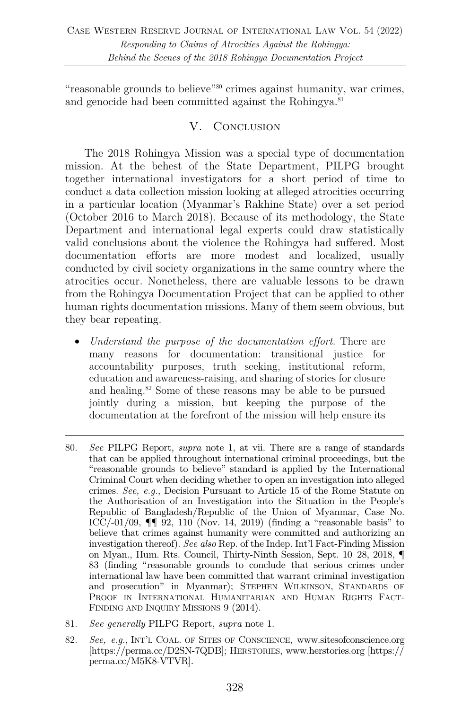"reasonable grounds to believe"80 crimes against humanity, war crimes, and genocide had been committed against the Rohingya.<sup>81</sup>

# V. CONCLUSION

The 2018 Rohingya Mission was a special type of documentation mission. At the behest of the State Department, PILPG brought together international investigators for a short period of time to conduct a data collection mission looking at alleged atrocities occurring in a particular location (Myanmar's Rakhine State) over a set period (October 2016 to March 2018). Because of its methodology, the State Department and international legal experts could draw statistically valid conclusions about the violence the Rohingya had suffered. Most documentation efforts are more modest and localized, usually conducted by civil society organizations in the same country where the atrocities occur. Nonetheless, there are valuable lessons to be drawn from the Rohingya Documentation Project that can be applied to other human rights documentation missions. Many of them seem obvious, but they bear repeating.

- *Understand the purpose of the documentation effort*. There are many reasons for documentation: transitional justice for accountability purposes, truth seeking, institutional reform, education and awareness-raising, and sharing of stories for closure and healing.82 Some of these reasons may be able to be pursued jointly during a mission, but keeping the purpose of the documentation at the forefront of the mission will help ensure its
- 80. *See* PILPG Report, *supra* note 1, at vii. There are a range of standards that can be applied throughout international criminal proceedings, but the "reasonable grounds to believe" standard is applied by the International Criminal Court when deciding whether to open an investigation into alleged crimes. *See, e.g.*, Decision Pursuant to Article 15 of the Rome Statute on the Authorisation of an Investigation into the Situation in the People's Republic of Bangladesh/Republic of the Union of Myanmar, Case No. ICC/-01/09,  $\P\P$  92, 110 (Nov. 14, 2019) (finding a "reasonable basis" to believe that crimes against humanity were committed and authorizing an investigation thereof). *See also* Rep. of the Indep. Int'l Fact-Finding Mission on Myan., Hum. Rts. Council, Thirty-Ninth Session, Sept. 10–28, 2018, ¶ 83 (finding "reasonable grounds to conclude that serious crimes under international law have been committed that warrant criminal investigation and prosecution" in Myanmar); STEPHEN WILKINSON, STANDARDS OF PROOF IN INTERNATIONAL HUMANITARIAN AND HUMAN RIGHTS FACT-FINDING AND INQUIRY MISSIONS 9 (2014).
- 81. *See generally* PILPG Report, *supra* note 1.
- 82. *See, e.g.*, INT'L COAL. OF SITES OF CONSCIENCE, www.sitesofconscience.org [https://perma.cc/D2SN-7QDB]; HERSTORIES, www.herstories.org [https:// perma.cc/M5K8-VTVR].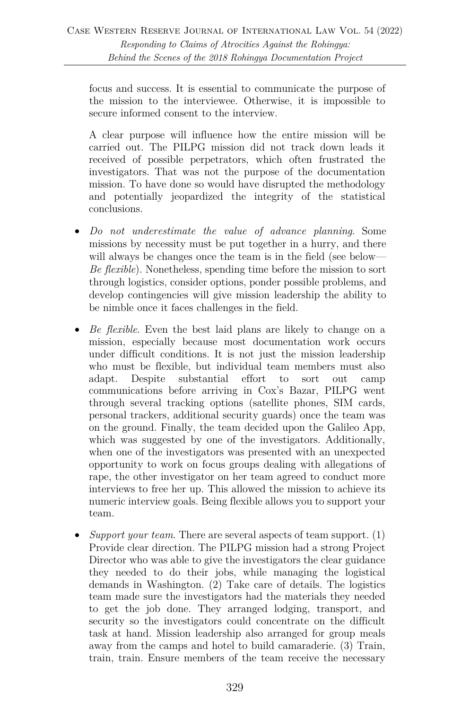focus and success. It is essential to communicate the purpose of the mission to the interviewee. Otherwise, it is impossible to secure informed consent to the interview.

A clear purpose will influence how the entire mission will be carried out. The PILPG mission did not track down leads it received of possible perpetrators, which often frustrated the investigators. That was not the purpose of the documentation mission. To have done so would have disrupted the methodology and potentially jeopardized the integrity of the statistical conclusions.

- *Do not underestimate the value of advance planning*. Some missions by necessity must be put together in a hurry, and there will always be changes once the team is in the field (see below— *Be flexible*). Nonetheless, spending time before the mission to sort through logistics, consider options, ponder possible problems, and develop contingencies will give mission leadership the ability to be nimble once it faces challenges in the field.
- *Be flexible*. Even the best laid plans are likely to change on a mission, especially because most documentation work occurs under difficult conditions. It is not just the mission leadership who must be flexible, but individual team members must also adapt. Despite substantial effort to sort out camp communications before arriving in Cox's Bazar, PILPG went through several tracking options (satellite phones, SIM cards, personal trackers, additional security guards) once the team was on the ground. Finally, the team decided upon the Galileo App, which was suggested by one of the investigators. Additionally, when one of the investigators was presented with an unexpected opportunity to work on focus groups dealing with allegations of rape, the other investigator on her team agreed to conduct more interviews to free her up. This allowed the mission to achieve its numeric interview goals. Being flexible allows you to support your team.
- *Support your team*. There are several aspects of team support. (1) Provide clear direction. The PILPG mission had a strong Project Director who was able to give the investigators the clear guidance they needed to do their jobs, while managing the logistical demands in Washington. (2) Take care of details. The logistics team made sure the investigators had the materials they needed to get the job done. They arranged lodging, transport, and security so the investigators could concentrate on the difficult task at hand. Mission leadership also arranged for group meals away from the camps and hotel to build camaraderie. (3) Train, train, train. Ensure members of the team receive the necessary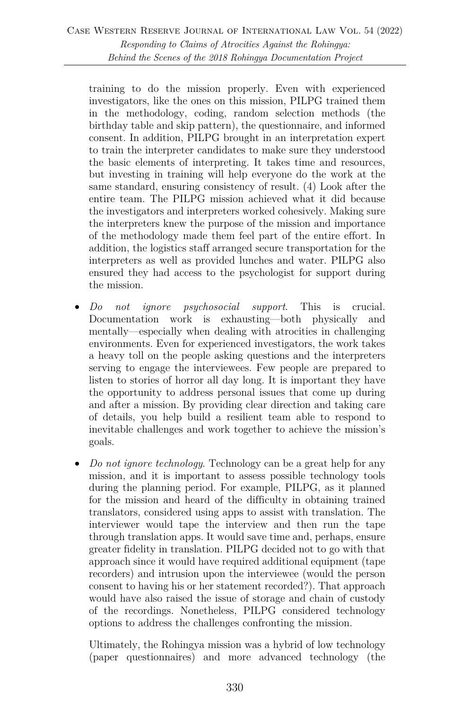training to do the mission properly. Even with experienced investigators, like the ones on this mission, PILPG trained them in the methodology, coding, random selection methods (the birthday table and skip pattern), the questionnaire, and informed consent. In addition, PILPG brought in an interpretation expert to train the interpreter candidates to make sure they understood the basic elements of interpreting. It takes time and resources, but investing in training will help everyone do the work at the same standard, ensuring consistency of result. (4) Look after the entire team. The PILPG mission achieved what it did because the investigators and interpreters worked cohesively. Making sure the interpreters knew the purpose of the mission and importance of the methodology made them feel part of the entire effort. In addition, the logistics staff arranged secure transportation for the interpreters as well as provided lunches and water. PILPG also ensured they had access to the psychologist for support during the mission.

- *Do not ignore psychosocial support*. This is crucial. Documentation work is exhausting—both physically and mentally—especially when dealing with atrocities in challenging environments. Even for experienced investigators, the work takes a heavy toll on the people asking questions and the interpreters serving to engage the interviewees. Few people are prepared to listen to stories of horror all day long. It is important they have the opportunity to address personal issues that come up during and after a mission. By providing clear direction and taking care of details, you help build a resilient team able to respond to inevitable challenges and work together to achieve the mission's goals.
- *Do not ignore technology*. Technology can be a great help for any mission, and it is important to assess possible technology tools during the planning period. For example, PILPG, as it planned for the mission and heard of the difficulty in obtaining trained translators, considered using apps to assist with translation. The interviewer would tape the interview and then run the tape through translation apps. It would save time and, perhaps, ensure greater fidelity in translation. PILPG decided not to go with that approach since it would have required additional equipment (tape recorders) and intrusion upon the interviewee (would the person consent to having his or her statement recorded?). That approach would have also raised the issue of storage and chain of custody of the recordings. Nonetheless, PILPG considered technology options to address the challenges confronting the mission.

Ultimately, the Rohingya mission was a hybrid of low technology (paper questionnaires) and more advanced technology (the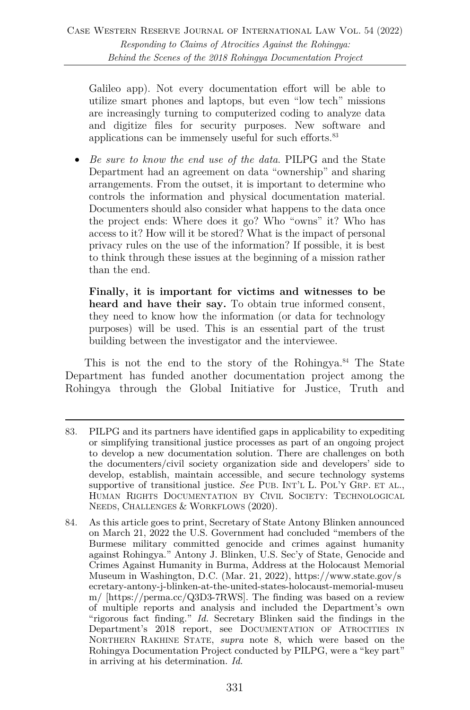Galileo app). Not every documentation effort will be able to utilize smart phones and laptops, but even "low tech" missions are increasingly turning to computerized coding to analyze data and digitize files for security purposes. New software and applications can be immensely useful for such efforts.<sup>83</sup>

• *Be sure to know the end use of the data*. PILPG and the State Department had an agreement on data "ownership" and sharing arrangements. From the outset, it is important to determine who controls the information and physical documentation material. Documenters should also consider what happens to the data once the project ends: Where does it go? Who "owns" it? Who has access to it? How will it be stored? What is the impact of personal privacy rules on the use of the information? If possible, it is best to think through these issues at the beginning of a mission rather than the end.

**Finally, it is important for victims and witnesses to be heard and have their say.** To obtain true informed consent, they need to know how the information (or data for technology purposes) will be used. This is an essential part of the trust building between the investigator and the interviewee.

This is not the end to the story of the Rohingya.<sup>84</sup> The State Department has funded another documentation project among the Rohingya through the Global Initiative for Justice, Truth and

<sup>83.</sup> PILPG and its partners have identified gaps in applicability to expediting or simplifying transitional justice processes as part of an ongoing project to develop a new documentation solution. There are challenges on both the documenters/civil society organization side and developers' side to develop, establish, maintain accessible, and secure technology systems supportive of transitional justice. *See* PUB. INT'L L. POL'Y GRP. ET AL., HUMAN RIGHTS DOCUMENTATION BY CIVIL SOCIETY: TECHNOLOGICAL NEEDS, CHALLENGES & WORKFLOWS (2020).

<sup>84.</sup> As this article goes to print, Secretary of State Antony Blinken announced on March 21, 2022 the U.S. Government had concluded "members of the Burmese military committed genocide and crimes against humanity against Rohingya." Antony J. Blinken, U.S. Sec'y of State, Genocide and Crimes Against Humanity in Burma, Address at the Holocaust Memorial Museum in Washington, D.C. (Mar. 21, 2022), https://www.state.gov/s ecretary-antony-j-blinken-at-the-united-states-holocaust-memorial-museu m/ [https://perma.cc/Q3D3-7RWS]. The finding was based on a review of multiple reports and analysis and included the Department's own "rigorous fact finding." *Id.* Secretary Blinken said the findings in the Department's 2018 report, see DOCUMENTATION OF ATROCITIES IN NORTHERN RAKHINE STATE, *supra* note 8, which were based on the Rohingya Documentation Project conducted by PILPG, were a "key part" in arriving at his determination. *Id.*